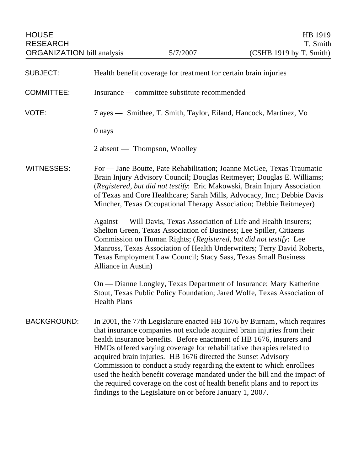| <b>SUBJECT:</b>    | Health benefit coverage for treatment for certain brain injuries                                                                                                                                                                                                                                                                                                                                                                                                                                                                                                                                                                                                        |
|--------------------|-------------------------------------------------------------------------------------------------------------------------------------------------------------------------------------------------------------------------------------------------------------------------------------------------------------------------------------------------------------------------------------------------------------------------------------------------------------------------------------------------------------------------------------------------------------------------------------------------------------------------------------------------------------------------|
| <b>COMMITTEE:</b>  | Insurance — committee substitute recommended                                                                                                                                                                                                                                                                                                                                                                                                                                                                                                                                                                                                                            |
| VOTE:              | 7 ayes — Smithee, T. Smith, Taylor, Eiland, Hancock, Martinez, Vo                                                                                                                                                                                                                                                                                                                                                                                                                                                                                                                                                                                                       |
|                    | 0 nays                                                                                                                                                                                                                                                                                                                                                                                                                                                                                                                                                                                                                                                                  |
|                    | 2 absent — Thompson, Woolley                                                                                                                                                                                                                                                                                                                                                                                                                                                                                                                                                                                                                                            |
| <b>WITNESSES:</b>  | For — Jane Boutte, Pate Rehabilitation; Joanne McGee, Texas Traumatic<br>Brain Injury Advisory Council; Douglas Reitmeyer; Douglas E. Williams;<br>(Registered, but did not testify: Eric Makowski, Brain Injury Association<br>of Texas and Core Healthcare; Sarah Mills, Advocacy, Inc.; Debbie Davis<br>Mincher, Texas Occupational Therapy Association; Debbie Reitmeyer)                                                                                                                                                                                                                                                                                           |
|                    | Against - Will Davis, Texas Association of Life and Health Insurers;<br>Shelton Green, Texas Association of Business; Lee Spiller, Citizens<br>Commission on Human Rights; (Registered, but did not testify: Lee<br>Manross, Texas Association of Health Underwriters; Terry David Roberts,<br>Texas Employment Law Council; Stacy Sass, Texas Small Business<br>Alliance in Austin)                                                                                                                                                                                                                                                                                    |
|                    | On — Dianne Longley, Texas Department of Insurance; Mary Katherine<br>Stout, Texas Public Policy Foundation; Jared Wolfe, Texas Association of<br><b>Health Plans</b>                                                                                                                                                                                                                                                                                                                                                                                                                                                                                                   |
| <b>BACKGROUND:</b> | In 2001, the 77th Legislature enacted HB 1676 by Burnam, which requires<br>that insurance companies not exclude acquired brain injuries from their<br>health insurance benefits. Before enactment of HB 1676, insurers and<br>HMOs offered varying coverage for rehabilitative therapies related to<br>acquired brain injuries. HB 1676 directed the Sunset Advisory<br>Commission to conduct a study regarding the extent to which enrollees<br>used the health benefit coverage mandated under the bill and the impact of<br>the required coverage on the cost of health benefit plans and to report its<br>findings to the Legislature on or before January 1, 2007. |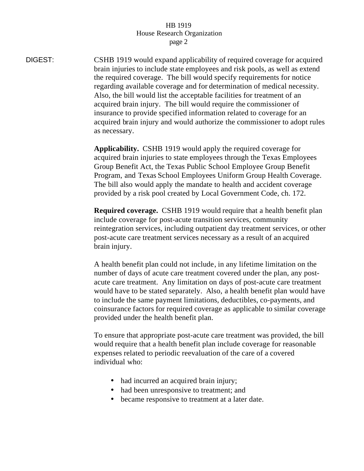DIGEST: CSHB 1919 would expand applicability of required coverage for acquired brain injuries to include state employees and risk pools, as well as extend the required coverage. The bill would specify requirements for notice regarding available coverage and for determination of medical necessity. Also, the bill would list the acceptable facilities for treatment of an acquired brain injury. The bill would require the commissioner of insurance to provide specified information related to coverage for an acquired brain injury and would authorize the commissioner to adopt rules as necessary.

> **Applicability.** CSHB 1919 would apply the required coverage for acquired brain injuries to state employees through the Texas Employees Group Benefit Act, the Texas Public School Employee Group Benefit Program, and Texas School Employees Uniform Group Health Coverage. The bill also would apply the mandate to health and accident coverage provided by a risk pool created by Local Government Code, ch. 172.

**Required coverage.** CSHB 1919 would require that a health benefit plan include coverage for post-acute transition services, community reintegration services, including outpatient day treatment services, or other post-acute care treatment services necessary as a result of an acquired brain injury.

A health benefit plan could not include, in any lifetime limitation on the number of days of acute care treatment covered under the plan, any postacute care treatment. Any limitation on days of post-acute care treatment would have to be stated separately. Also, a health benefit plan would have to include the same payment limitations, deductibles, co-payments, and coinsurance factors for required coverage as applicable to similar coverage provided under the health benefit plan.

To ensure that appropriate post-acute care treatment was provided, the bill would require that a health benefit plan include coverage for reasonable expenses related to periodic reevaluation of the care of a covered individual who:

- had incurred an acquired brain injury;
- had been unresponsive to treatment; and
- became responsive to treatment at a later date.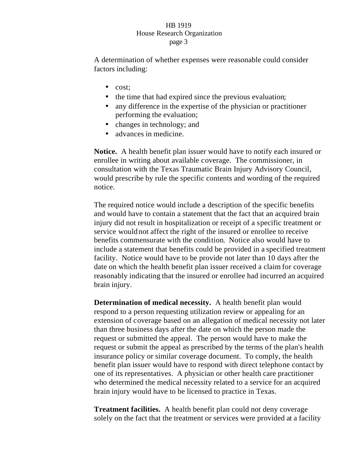A determination of whether expenses were reasonable could consider factors including:

- cost;
- the time that had expired since the previous evaluation;
- any difference in the expertise of the physician or practitioner performing the evaluation;
- changes in technology; and
- advances in medicine.

**Notice.** A health benefit plan issuer would have to notify each insured or enrollee in writing about available coverage. The commissioner, in consultation with the Texas Traumatic Brain Injury Advisory Council, would prescribe by rule the specific contents and wording of the required notice.

The required notice would include a description of the specific benefits and would have to contain a statement that the fact that an acquired brain injury did not result in hospitalization or receipt of a specific treatment or service would not affect the right of the insured or enrollee to receive benefits commensurate with the condition. Notice also would have to include a statement that benefits could be provided in a specified treatment facility. Notice would have to be provide not later than 10 days after the date on which the health benefit plan issuer received a claim for coverage reasonably indicating that the insured or enrollee had incurred an acquired brain injury.

**Determination of medical necessity.** A health benefit plan would respond to a person requesting utilization review or appealing for an extension of coverage based on an allegation of medical necessity not later than three business days after the date on which the person made the request or submitted the appeal. The person would have to make the request or submit the appeal as prescribed by the terms of the plan's health insurance policy or similar coverage document. To comply, the health benefit plan issuer would have to respond with direct telephone contact by one of its representatives. A physician or other health care practitioner who determined the medical necessity related to a service for an acquired brain injury would have to be licensed to practice in Texas.

**Treatment facilities.** A health benefit plan could not deny coverage solely on the fact that the treatment or services were provided at a facility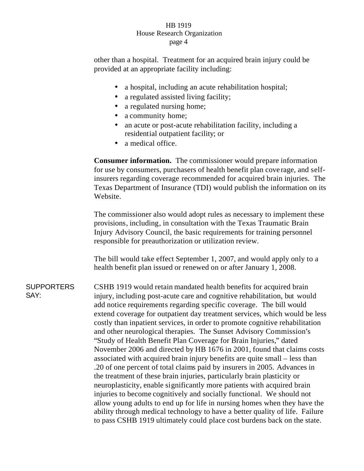other than a hospital. Treatment for an acquired brain injury could be provided at an appropriate facility including:

- a hospital, including an acute rehabilitation hospital;
- a regulated assisted living facility;
- a regulated nursing home;
- a community home;
- an acute or post-acute rehabilitation facility, including a residential outpatient facility; or
- a medical office.

**Consumer information.** The commissioner would prepare information for use by consumers, purchasers of health benefit plan cove rage, and selfinsurers regarding coverage recommended for acquired brain injuries. The Texas Department of Insurance (TDI) would publish the information on its Website.

The commissioner also would adopt rules as necessary to implement these provisions, including, in consultation with the Texas Traumatic Brain Injury Advisory Council, the basic requirements for training personnel responsible for preauthorization or utilization review.

The bill would take effect September 1, 2007, and would apply only to a health benefit plan issued or renewed on or after January 1, 2008.

**SUPPORTERS** SAY: CSHB 1919 would retain mandated health benefits for acquired brain injury, including post-acute care and cognitive rehabilitation, but would add notice requirements regarding specific coverage. The bill would extend coverage for outpatient day treatment services, which would be less costly than inpatient services, in order to promote cognitive rehabilitation and other neurological therapies. The Sunset Advisory Commission's "Study of Health Benefit Plan Coverage for Brain Injuries," dated November 2006 and directed by HB 1676 in 2001, found that claims costs associated with acquired brain injury benefits are quite small – less than .20 of one percent of total claims paid by insurers in 2005. Advances in the treatment of these brain injuries, particularly brain plasticity or neuroplasticity, enable significantly more patients with acquired brain injuries to become cognitively and socially functional. We should not allow young adults to end up for life in nursing homes when they have the ability through medical technology to have a better quality of life. Failure to pass CSHB 1919 ultimately could place cost burdens back on the state.